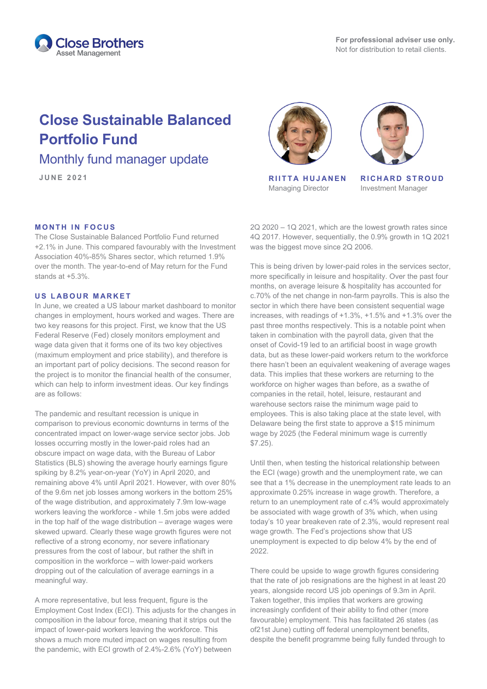

# **Close Sustainable Balanced Portfolio Fund**

Monthly fund manager update

### **MONTH IN FOCUS**

The Close Sustainable Balanced Portfolio Fund returned +2.1% in June. This compared favourably with the Investment Association 40%-85% Shares sector, which returned 1.9% over the month. The year-to-end of May return for the Fund stands at +5.3%.

#### **US LABOUR MARKET**

In June, we created a US labour market dashboard to monitor changes in employment, hours worked and wages. There are two key reasons for this project. First, we know that the US Federal Reserve (Fed) closely monitors employment and wage data given that it forms one of its two key objectives (maximum employment and price stability), and therefore is an important part of policy decisions. The second reason for the project is to monitor the financial health of the consumer, which can help to inform investment ideas. Our key findings are as follows:

The pandemic and resultant recession is unique in comparison to previous economic downturns in terms of the concentrated impact on lower-wage service sector jobs. Job losses occurring mostly in the lower-paid roles had an obscure impact on wage data, with the Bureau of Labor Statistics (BLS) showing the average hourly earnings figure spiking by 8.2% year-on-year (YoY) in April 2020, and remaining above 4% until April 2021. However, with over 80% of the 9.6m net job losses among workers in the bottom 25% of the wage distribution, and approximately 7.9m low-wage workers leaving the workforce - while 1.5m jobs were added in the top half of the wage distribution – average wages were skewed upward. Clearly these wage growth figures were not reflective of a strong economy, nor severe inflationary pressures from the cost of labour, but rather the shift in composition in the workforce – with lower-paid workers dropping out of the calculation of average earnings in a meaningful way.

A more representative, but less frequent, figure is the Employment Cost Index (ECI). This adjusts for the changes in composition in the labour force, meaning that it strips out the impact of lower-paid workers leaving the workforce. This shows a much more muted impact on wages resulting from the pandemic, with ECI growth of 2.4%-2.6% (YoY) between



**JUNE 2021 RIITTA HUJANEN** Managing Director



**RICHARD STROUD** Investment Manager

2Q 2020 – 1Q 2021, which are the lowest growth rates since 4Q 2017. However, sequentially, the 0.9% growth in 1Q 2021 was the biggest move since 2Q 2006.

This is being driven by lower-paid roles in the services sector, more specifically in leisure and hospitality. Over the past four months, on average leisure & hospitality has accounted for c.70% of the net change in non-farm payrolls. This is also the sector in which there have been consistent sequential wage increases, with readings of +1.3%, +1.5% and +1.3% over the past three months respectively. This is a notable point when taken in combination with the payroll data, given that the onset of Covid-19 led to an artificial boost in wage growth data, but as these lower-paid workers return to the workforce there hasn't been an equivalent weakening of average wages data. This implies that these workers are returning to the workforce on higher wages than before, as a swathe of companies in the retail, hotel, leisure, restaurant and warehouse sectors raise the minimum wage paid to employees. This is also taking place at the state level, with Delaware being the first state to approve a \$15 minimum wage by 2025 (the Federal minimum wage is currently \$7.25).

Until then, when testing the historical relationship between the ECI (wage) growth and the unemployment rate, we can see that a 1% decrease in the unemployment rate leads to an approximate 0.25% increase in wage growth. Therefore, a return to an unemployment rate of c.4% would approximately be associated with wage growth of 3% which, when using today's 10 year breakeven rate of 2.3%, would represent real wage growth. The Fed's projections show that US unemployment is expected to dip below 4% by the end of 2022.

There could be upside to wage growth figures considering that the rate of job resignations are the highest in at least 20 years, alongside record US job openings of 9.3m in April. Taken together, this implies that workers are growing increasingly confident of their ability to find other (more favourable) employment. This has facilitated 26 states (as of21st June) cutting off federal unemployment benefits, despite the benefit programme being fully funded through to